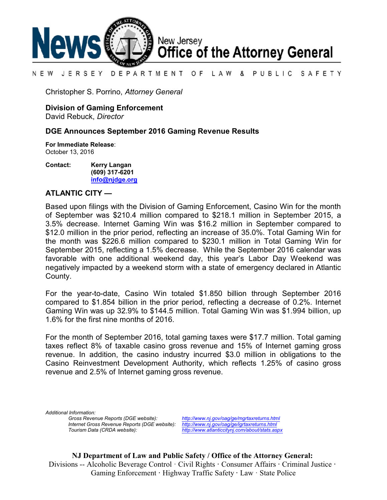

#### LAW & PUBLIC SAFETY N E W JERSEY DEPARTMENT OF

Christopher S. Porrino, *Attorney General*

## **Division of Gaming Enforcement**

David Rebuck, *Director*

## **DGE Announces September 2016 Gaming Revenue Results**

**For Immediate Release**: October 13, 2016

**Contact: Kerry Langan (609) 317-6201 [info@njdge.org](file:///|//info@njdge.org)**

## **ATLANTIC CITY —**

Based upon filings with the Division of Gaming Enforcement, Casino Win for the month of September was \$210.4 million compared to \$218.1 million in September 2015, a 3.5% decrease. Internet Gaming Win was \$16.2 million in September compared to \$12.0 million in the prior period, reflecting an increase of 35.0%. Total Gaming Win for the month was \$226.6 million compared to \$230.1 million in Total Gaming Win for September 2015, reflecting a 1.5% decrease. While the September 2016 calendar was favorable with one additional weekend day, this year's Labor Day Weekend was negatively impacted by a weekend storm with a state of emergency declared in Atlantic County.

For the year-to-date, Casino Win totaled \$1.850 billion through September 2016 compared to \$1.854 billion in the prior period, reflecting a decrease of 0.2%. Internet Gaming Win was up 32.9% to \$144.5 million. Total Gaming Win was \$1.994 billion, up 1.6% for the first nine months of 2016.

For the month of September 2016, total gaming taxes were \$17.7 million. Total gaming taxes reflect 8% of taxable casino gross revenue and 15% of Internet gaming gross revenue. In addition, the casino industry incurred \$3.0 million in obligations to the Casino Reinvestment Development Authority, which reflects 1.25% of casino gross revenue and 2.5% of Internet gaming gross revenue.

*Additional Information:*

*Gross Revenue Reports (DGE website): <http://www.nj.gov/oag/ge/mgrtaxreturns.html> Internet Gross Revenue Reports (DGE website): <http://www.nj.gov/oag/ge/igrtaxreturns.html>*

*Tourism Data (CRDA website): <http://www.atlanticcitynj.com/about/stats.aspx>*

**NJ Department of Law and Public Safety / Office of the Attorney General:** Divisions -- Alcoholic Beverage Control · Civil Rights **·** Consumer Affairs **·** Criminal Justice **·**  Gaming Enforcement **·** Highway Traffic Safety **·** Law · State Police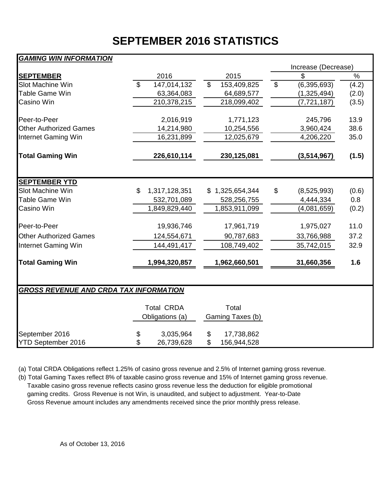# **SEPTEMBER 2016 STATISTICS**

## *GAMING WIN INFORMATION*

|                                               |                |                   |                |                  |                           | Increase (Decrease) |               |  |  |  |  |  |
|-----------------------------------------------|----------------|-------------------|----------------|------------------|---------------------------|---------------------|---------------|--|--|--|--|--|
| <b>SEPTEMBER</b>                              |                | 2016              |                | 2015             |                           | \$                  | $\frac{1}{2}$ |  |  |  |  |  |
| Slot Machine Win                              | $\mathfrak{L}$ | 147,014,132       | $\mathfrak{S}$ | 153,409,825      | $\boldsymbol{\mathsf{S}}$ | (6, 395, 693)       | (4.2)         |  |  |  |  |  |
| Table Game Win                                |                | 63,364,083        |                | 64,689,577       |                           | (1,325,494)         | (2.0)         |  |  |  |  |  |
| Casino Win                                    |                | 210,378,215       |                | 218,099,402      |                           | (7, 721, 187)       | (3.5)         |  |  |  |  |  |
| Peer-to-Peer                                  |                | 2,016,919         |                | 1,771,123        |                           | 245,796             | 13.9          |  |  |  |  |  |
| <b>Other Authorized Games</b>                 |                | 14,214,980        |                | 10,254,556       |                           | 3,960,424           | 38.6          |  |  |  |  |  |
| Internet Gaming Win                           |                | 16,231,899        |                | 12,025,679       |                           | 4,206,220           | 35.0          |  |  |  |  |  |
| <b>Total Gaming Win</b>                       |                | 226,610,114       |                | 230,125,081      |                           | (3,514,967)         | (1.5)         |  |  |  |  |  |
|                                               |                |                   |                |                  |                           |                     |               |  |  |  |  |  |
| <b>SEPTEMBER YTD</b>                          |                |                   |                |                  |                           |                     |               |  |  |  |  |  |
| Slot Machine Win                              | \$.            | 1,317,128,351     |                | \$1,325,654,344  | \$                        | (8,525,993)         | (0.6)         |  |  |  |  |  |
| <b>Table Game Win</b>                         |                | 532,701,089       |                | 528,256,755      |                           | 4,444,334           | 0.8           |  |  |  |  |  |
| Casino Win                                    |                | 1,849,829,440     |                | 1,853,911,099    |                           | (4,081,659)         | (0.2)         |  |  |  |  |  |
| Peer-to-Peer                                  |                | 19,936,746        |                | 17,961,719       |                           | 1,975,027           | 11.0          |  |  |  |  |  |
| <b>Other Authorized Games</b>                 |                | 124,554,671       |                | 90,787,683       |                           | 33,766,988          | 37.2          |  |  |  |  |  |
| Internet Gaming Win                           |                | 144,491,417       |                | 108,749,402      |                           | 35,742,015          | 32.9          |  |  |  |  |  |
| <b>Total Gaming Win</b>                       |                | 1,994,320,857     |                | 1,962,660,501    |                           | 31,660,356          | 1.6           |  |  |  |  |  |
|                                               |                |                   |                |                  |                           |                     |               |  |  |  |  |  |
| <b>GROSS REVENUE AND CRDA TAX INFORMATION</b> |                |                   |                |                  |                           |                     |               |  |  |  |  |  |
|                                               |                | <b>Total CRDA</b> |                | Total            |                           |                     |               |  |  |  |  |  |
|                                               |                | Obligations (a)   |                | Gaming Taxes (b) |                           |                     |               |  |  |  |  |  |
| September 2016                                |                | 3,035,964         | \$             | 17,738,862       |                           |                     |               |  |  |  |  |  |
| <b>YTD September 2016</b>                     |                | 26,739,628        | \$             | 156,944,528      |                           |                     |               |  |  |  |  |  |

(a) Total CRDA Obligations reflect 1.25% of casino gross revenue and 2.5% of Internet gaming gross revenue.

(b) Total Gaming Taxes reflect 8% of taxable casino gross revenue and 15% of Internet gaming gross revenue. Taxable casino gross revenue reflects casino gross revenue less the deduction for eligible promotional gaming credits. Gross Revenue is not Win, is unaudited, and subject to adjustment. Year-to-Date Gross Revenue amount includes any amendments received since the prior monthly press release.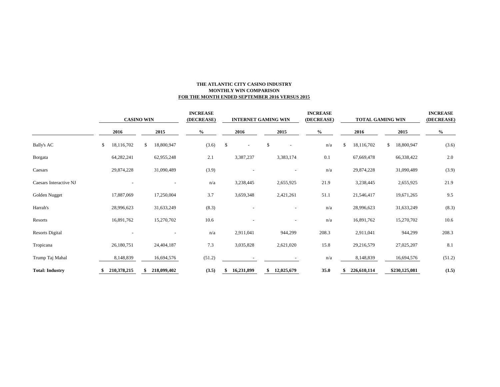### **THE ATLANTIC CITY CASINO INDUSTRY MONTHLY WIN COMPARISON FOR THE MONTH ENDED SEPTEMBER 2016 VERSUS 2015**

|                        | <b>CASINO WIN</b> |             |      |             |      | <b>INCREASE</b><br>(DECREASE) |      | <b>INTERNET GAMING WIN</b> |    |                          | <b>INCREASE</b><br>(DECREASE) |       | <b>TOTAL GAMING WIN</b> | <b>INCREASE</b><br>(DECREASE) |      |               |        |  |
|------------------------|-------------------|-------------|------|-------------|------|-------------------------------|------|----------------------------|----|--------------------------|-------------------------------|-------|-------------------------|-------------------------------|------|---------------|--------|--|
|                        | 2016              |             | 2015 |             | $\%$ |                               | 2016 |                            |    | 2015                     |                               | $\%$  |                         | 2016                          | 2015 |               | $\%$   |  |
| <b>Bally's AC</b>      | \$                | 18,116,702  | \$   | 18,800,947  |      | (3.6)                         | \$   |                            | \$ | $\overline{\phantom{a}}$ |                               | n/a   |                         | 18,116,702                    | \$   | 18,800,947    | (3.6)  |  |
| Borgata                |                   | 64,282,241  |      | 62,955,248  |      | 2.1                           |      | 3,387,237                  |    | 3,383,174                |                               | 0.1   |                         | 67,669,478                    |      | 66,338,422    | 2.0    |  |
| Caesars                |                   | 29,874,228  |      | 31,090,489  |      | (3.9)                         |      |                            |    |                          |                               | n/a   |                         | 29,874,228                    |      | 31,090,489    | (3.9)  |  |
| Caesars Interactive NJ |                   |             |      |             |      | n/a                           |      | 3,238,445                  |    | 2,655,925                |                               | 21.9  |                         | 3,238,445                     |      | 2,655,925     | 21.9   |  |
| Golden Nugget          |                   | 17,887,069  |      | 17,250,004  |      | 3.7                           |      | 3,659,348                  |    | 2,421,261                |                               | 51.1  |                         | 21,546,417                    |      | 19,671,265    | 9.5    |  |
| Harrah's               |                   | 28,996,623  |      | 31,633,249  |      | (8.3)                         |      |                            |    |                          |                               | n/a   |                         | 28,996,623                    |      | 31,633,249    | (8.3)  |  |
| Resorts                |                   | 16,891,762  |      | 15,270,702  |      | 10.6                          |      |                            |    |                          |                               | n/a   |                         | 16,891,762                    |      | 15,270,702    | 10.6   |  |
| <b>Resorts Digital</b> |                   |             |      |             |      | n/a                           |      | 2,911,041                  |    | 944,299                  |                               | 208.3 |                         | 2,911,041                     |      | 944,299       | 208.3  |  |
| Tropicana              |                   | 26,180,751  |      | 24,404,187  |      | 7.3                           |      | 3,035,828                  |    | 2,621,020                |                               | 15.8  |                         | 29,216,579                    |      | 27,025,207    | 8.1    |  |
| Trump Taj Mahal        |                   | 8,148,839   |      | 16,694,576  |      | (51.2)                        |      |                            |    |                          |                               | n/a   |                         | 8,148,839                     |      | 16,694,576    | (51.2) |  |
| <b>Total: Industry</b> |                   | 210,378,215 |      | 218,099,402 |      | (3.5)                         |      | 16,231,899                 | \$ | 12,025,679               |                               | 35.0  |                         | 226,610,114                   |      | \$230,125,081 | (1.5)  |  |